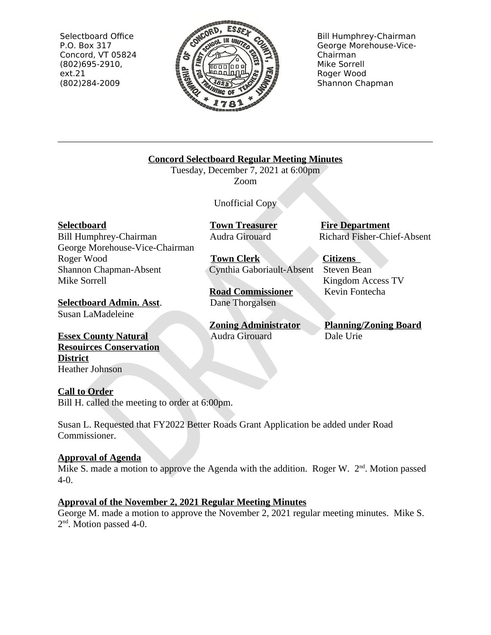Selectboard Office P.O. Box 317 Concord, VT 05824  $(802)695-2910,$  $ext.21$ (802)284-2009



**Bill Humphrey-Chairman** George Morehouse-Vice-Chairman Mike Sorrell Roger Wood Shannon Chapman

**Concord Selectboard Regular Meeting Minutes** 

Tuesday, December 7, 2021 at 6:00pm Zoom

**Unofficial Copy** 

**Selectboard** 

Bill Humphrey-Chairman George Morehouse-Vice-Chairman Roger Wood Shannon Chapman-Absent Mike Sorrell

**Selectboard Admin. Asst.** Susan LaMadeleine

**Essex County Natural Resouirces Conservation District Heather Johnson** 

**Call to Order** 

Bill H. called the meeting to order at 6:00pm.

Susan L. Requested that FY2022 Better Roads Grant Application be added under Road Commissioner.

# **Approval of Agenda**

Mike S. made a motion to approve the Agenda with the addition. Roger W.  $2<sup>nd</sup>$ . Motion passed  $4-0.$ 

# **Approval of the November 2, 2021 Regular Meeting Minutes**

George M. made a motion to approve the November 2, 2021 regular meeting minutes. Mike S.  $2<sup>nd</sup>$ . Motion passed 4-0.

**Town Treasurer** Audra Girouard

**Town Clerk** Cynthia Gaboriault-Absent

**Road Commissioner** Dane Thorgalsen

**Zoning Administrator** Audra Girouard

**Fire Department** Richard Fisher-Chief-Absent

**Citizens** Steven Bean Kingdom Access TV Kevin Fontecha

**Planning/Zoning Board** Dale Urie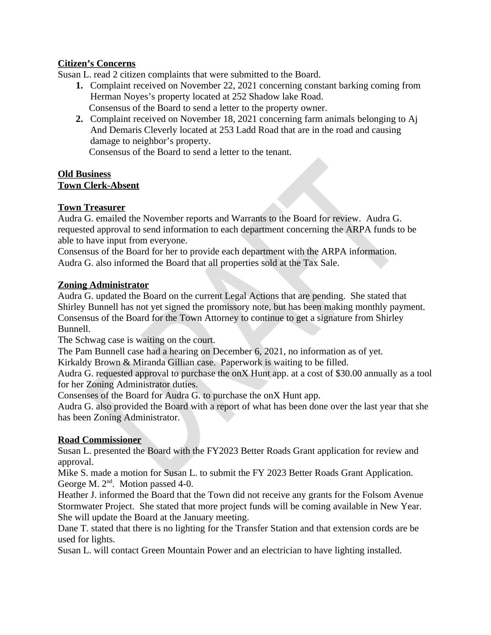## **Citizen's Concerns**

Susan L. read 2 citizen complaints that were submitted to the Board.

- 1. Complaint received on November 22, 2021 concerning constant barking coming from Herman Noyes's property located at 252 Shadow lake Road. Consensus of the Board to send a letter to the property owner.
- 2. Complaint received on November 18, 2021 concerning farm animals belonging to Aj And Demaris Cleverly located at 253 Ladd Road that are in the road and causing damage to neighbor's property.

Consensus of the Board to send a letter to the tenant.

#### **Old Business Town Clerk-Absent**

## **Town Treasurer**

Audra G. emailed the November reports and Warrants to the Board for review. Audra G. requested approval to send information to each department concerning the ARPA funds to be able to have input from everyone.

Consensus of the Board for her to provide each department with the ARPA information. Audra G. also informed the Board that all properties sold at the Tax Sale.

## **Zoning Administrator**

Audra G, updated the Board on the current Legal Actions that are pending. She stated that Shirley Bunnell has not yet signed the promissory note, but has been making monthly payment. Consensus of the Board for the Town Attorney to continue to get a signature from Shirley Bunnell.

The Schwag case is waiting on the court.

The Pam Bunnell case had a hearing on December 6, 2021, no information as of yet.

Kirkaldy Brown & Miranda Gillian case. Paperwork is waiting to be filled.

Audra G. requested approval to purchase the onX Hunt app. at a cost of \$30.00 annually as a tool for her Zoning Administrator duties.

Consenses of the Board for Audra G. to purchase the onX Hunt app.

Audra G, also provided the Board with a report of what has been done over the last year that she has been Zoning Administrator.

## **Road Commissioner**

Susan L. presented the Board with the FY2023 Better Roads Grant application for review and approval.

Mike S. made a motion for Susan L. to submit the FY 2023 Better Roads Grant Application. George M. 2<sup>nd</sup>. Motion passed 4-0.

Heather J. informed the Board that the Town did not receive any grants for the Folsom Avenue Stormwater Project. She stated that more project funds will be coming available in New Year. She will update the Board at the January meeting.

Dane T. stated that there is no lighting for the Transfer Station and that extension cords are be used for lights.

Susan L. will contact Green Mountain Power and an electrician to have lighting installed.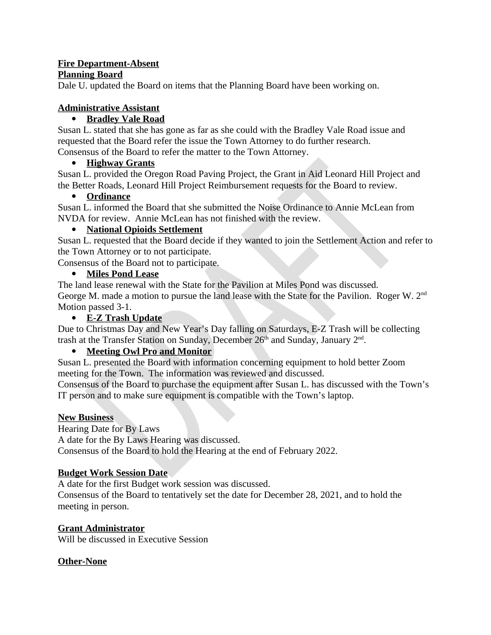#### **Fire Department-Absent Planning Board**

Dale U. updated the Board on items that the Planning Board have been working on.

## **Administrative Assistant**

## • Bradley Vale Road

Susan L. stated that she has gone as far as she could with the Bradley Vale Road issue and requested that the Board refer the issue the Town Attorney to do further research. Consensus of the Board to refer the matter to the Town Attorney.

## • Highway Grants

Susan L. provided the Oregon Road Paving Project, the Grant in Aid Leonard Hill Project and the Better Roads, Leonard Hill Project Reimbursement requests for the Board to review.

## • Ordinance

Susan L. informed the Board that she submitted the Noise Ordinance to Annie McLean from NVDA for review. Annie McLean has not finished with the review.

## • National Opioids Settlement

Susan L. requested that the Board decide if they wanted to join the Settlement Action and refer to the Town Attorney or to not participate.

Consensus of the Board not to participate.

#### $\bullet$ **Miles Pond Lease**

The land lease renewal with the State for the Pavilion at Miles Pond was discussed. George M, made a motion to pursue the land lease with the State for the Pavilion. Roger W, 2<sup>nd</sup> Motion passed 3-1.

## • E-Z Trash Update

Due to Christmas Day and New Year's Day falling on Saturdays, E-Z Trash will be collecting trash at the Transfer Station on Sunday, December 26<sup>th</sup> and Sunday, January 2<sup>nd</sup>.

## **Meeting Owl Pro and Monitor**

Susan L. presented the Board with information concerning equipment to hold better Zoom meeting for the Town. The information was reviewed and discussed.

Consensus of the Board to purchase the equipment after Susan L. has discussed with the Town's IT person and to make sure equipment is compatible with the Town's laptop.

## **New Business**

**Hearing Date for By Laws** 

A date for the By Laws Hearing was discussed.

Consensus of the Board to hold the Hearing at the end of February 2022.

## **Budget Work Session Date**

A date for the first Budget work session was discussed.

Consensus of the Board to tentatively set the date for December 28, 2021, and to hold the meeting in person.

## **Grant Administrator**

Will be discussed in Executive Session

## **Other-None**